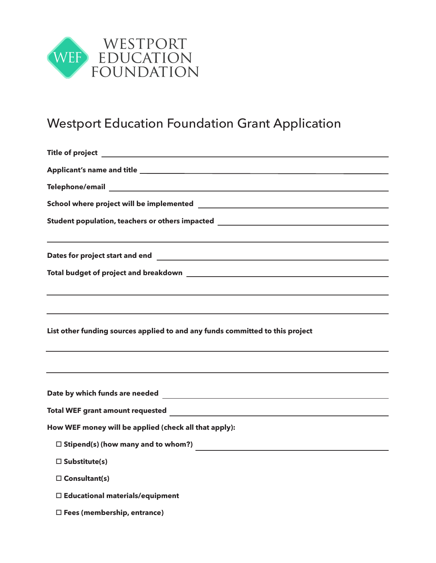

# Westport Education Foundation Grant Application

| Student population, teachers or others impacted ________________________________ |  |  |  |                                                                                  |  |  |  |
|----------------------------------------------------------------------------------|--|--|--|----------------------------------------------------------------------------------|--|--|--|
|                                                                                  |  |  |  | ,我们也不会有什么。""我们的人,我们也不会有什么?""我们的人,我们也不会有什么?""我们的人,我们也不会有什么?""我们的人,我们也不会有什么?""我们的人 |  |  |  |
|                                                                                  |  |  |  |                                                                                  |  |  |  |
|                                                                                  |  |  |  |                                                                                  |  |  |  |
|                                                                                  |  |  |  |                                                                                  |  |  |  |
| ,我们也不会有什么。""我们的人,我们也不会有什么?""我们的人,我们也不会有什么?""我们的人,我们也不会有什么?""我们的人,我们也不会有什么?""我们的人 |  |  |  |                                                                                  |  |  |  |
| List other funding sources applied to and any funds committed to this project    |  |  |  |                                                                                  |  |  |  |
|                                                                                  |  |  |  |                                                                                  |  |  |  |
|                                                                                  |  |  |  |                                                                                  |  |  |  |
|                                                                                  |  |  |  |                                                                                  |  |  |  |
| How WEF money will be applied (check all that apply):                            |  |  |  |                                                                                  |  |  |  |
|                                                                                  |  |  |  |                                                                                  |  |  |  |
| $\square$ Substitute(s)                                                          |  |  |  |                                                                                  |  |  |  |
| $\square$ Consultant(s)                                                          |  |  |  |                                                                                  |  |  |  |
| $\square$ Educational materials/equipment                                        |  |  |  |                                                                                  |  |  |  |
| $\square$ Fees (membership, entrance)                                            |  |  |  |                                                                                  |  |  |  |